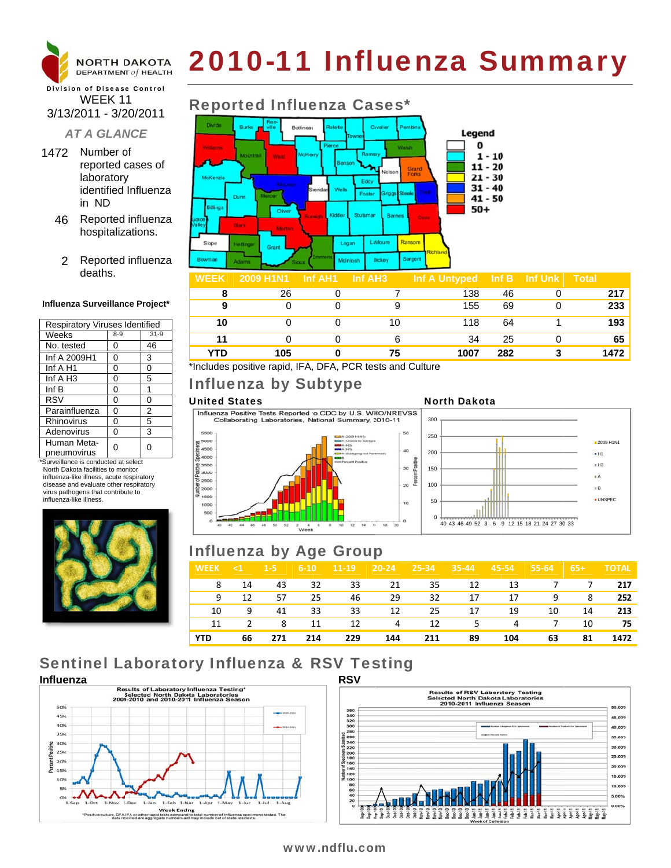

# 2010-11 Influenza Summary

### **Division of Disease Control** WEEK 11 3/13/2011 - 3/20/2011

### **AT A GLANCE**

- 1472 Number of reported cases of laboratory identified Influenza in ND
	- 46 Reported influenza hospitalizations.
		- 2 Reported influenza deaths.

### Influenza Surveillance Project\*

| <b>Respiratory Viruses Identified</b> |       |        |  |  |  |  |
|---------------------------------------|-------|--------|--|--|--|--|
| Weeks                                 | $8-9$ | $31-9$ |  |  |  |  |
| No. tested                            | 0     | 46     |  |  |  |  |
| Inf A 2009H1                          | 0     | 3      |  |  |  |  |
| Inf A H1                              | 0     | 0      |  |  |  |  |
| Inf A H3                              | 0     | 5      |  |  |  |  |
| Inf B                                 | 0     | 1      |  |  |  |  |
| <b>RSV</b>                            | 0     | 0      |  |  |  |  |
| Parainfluenza                         | 0     | 2      |  |  |  |  |
| Rhinovirus                            | 0     | 5      |  |  |  |  |
| Adenovirus                            | 0     | 3      |  |  |  |  |
| Human Meta-<br>pneumovirus            |       | O      |  |  |  |  |

\*Surveillance is conducted at select North Dakota facilities to monitor influenza-like illness, acute respiratory disease and evaluate other respiratory virus pathogens that contribute to influenza-like illness



# **Reported Influenza Cases\***



| $\mathbf{v}$ is the set of $\mathbf{v}$ |     | $\blacksquare$ | $\mathbf{m}$ $\mathbf{m}$ $\mathbf{m}$ $\mathbf{v}$ $\mathbf{m}$ $\mathbf{v}$ $\mathbf{m}$ $\mathbf{v}$ $\mathbf{m}$ |     | $\sim$ . $\sim$ . $\sim$ . |
|-----------------------------------------|-----|----------------|----------------------------------------------------------------------------------------------------------------------|-----|----------------------------|
|                                         | 26  |                | 138                                                                                                                  | 46  | 217                        |
|                                         |     |                | 155                                                                                                                  | 69  | 233                        |
| 10                                      |     | 10             | 118                                                                                                                  | 64  | 193                        |
|                                         |     |                | 34                                                                                                                   | 25  | 65                         |
| YTD                                     | 105 | 75             | 1007                                                                                                                 | 282 | 1472                       |

\*Includes positive rapid, IFA, DFA, PCR tests and Culture

# Influenza by Subtype

### **United States**

Influenza Positive Tests Reported to CDC by U.S. WHO/NREVSS Collaborating Laboratories, National Summary, 2010-11



### **North Dakota**



# **Influenza by Age Group**

| <b>WEEK</b> | $\leq 1$ 1.5 |        | $6-10$ | $11 - 19$   | $20-24$ 25-34 |            | $35-44$          | $45 - 54$ | $55-64$ 65+ |     | <b>TOTAL</b> |
|-------------|--------------|--------|--------|-------------|---------------|------------|------------------|-----------|-------------|-----|--------------|
|             | 8 14         |        |        | 43 32 33 21 |               |            | 35 12 13 7 7 217 |           |             |     |              |
| 9           |              | 12 57  | 25     | 46 —        | - 29          | 32         | 17               | 17        |             | 9 8 | 252          |
| 10          | - 9          |        | 41 33  | 33          | 12            | 25         | 17               | - 19      | 10          | 14  | 213          |
| 11          |              | 2 8 11 |        | 12          |               | 4 12 5 4 7 |                  |           |             | 10  | 75           |
| <b>YTD</b>  | 66           | 271    | 214    | 229         | 144           | 211        | 89               | 104       | 63          | 81  | 1472         |

# **Sentinel Laboratory Influenza & RSV Testing**